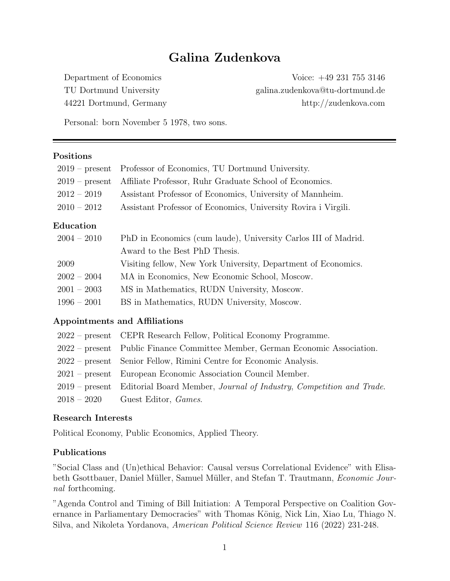# Galina Zudenkova

Department of Economics Voice: +49 231 755 3146 TU Dortmund University galina.zudenkova@tu-dortmund.de 44221 Dortmund, Germany http://zudenkova.com

Personal: born November 5 1978, two sons.

#### Positions

| $2019$ – present  | Professor of Economics, TU Dortmund University.                |
|-------------------|----------------------------------------------------------------|
| $2019$ – present  | Affiliate Professor, Ruhr Graduate School of Economics.        |
| $2012 - 2019$     | Assistant Professor of Economics, University of Mannheim.      |
| $2010 - 2012$     | Assistant Professor of Economics, University Rovira i Virgili. |
| ${\rm Education}$ |                                                                |
| $2004 - 2010$     | PhD in Economics (cum laude), University Carlos III of Madrid. |
|                   | Award to the Best PhD Thesis.                                  |
| 2009              | Visiting fellow, New York University, Department of Economics. |
| $2002 - 2004$     | MA in Economics, New Economic School, Moscow.                  |
| $2001 - 2003$     | MS in Mathematics, RUDN University, Moscow.                    |
| $1996 - 2001$     | BS in Mathematics, RUDN University, Moscow.                    |

#### Appointments and Affiliations

| 2022 – present CEPR Research Fellow, Political Economy Programme.                  |
|------------------------------------------------------------------------------------|
| 2022 – present Public Finance Committee Member, German Economic Association.       |
| 2022 – present Senior Fellow, Rimini Centre for Economic Analysis.                 |
| 2021 – present European Economic Association Council Member.                       |
| 2019 – present Editorial Board Member, Journal of Industry, Competition and Trade. |
| $2018 - 2020$ Guest Editor, <i>Games.</i>                                          |

#### Research Interests

Political Economy, Public Economics, Applied Theory.

## Publications

"Social Class and (Un)ethical Behavior: Causal versus Correlational Evidence" with Elisabeth Gsottbauer, Daniel Müller, Samuel Müller, and Stefan T. Trautmann, *Economic Jour*nal forthcoming.

"Agenda Control and Timing of Bill Initiation: A Temporal Perspective on Coalition Governance in Parliamentary Democracies" with Thomas König, Nick Lin, Xiao Lu, Thiago N. Silva, and Nikoleta Yordanova, American Political Science Review 116 (2022) 231-248.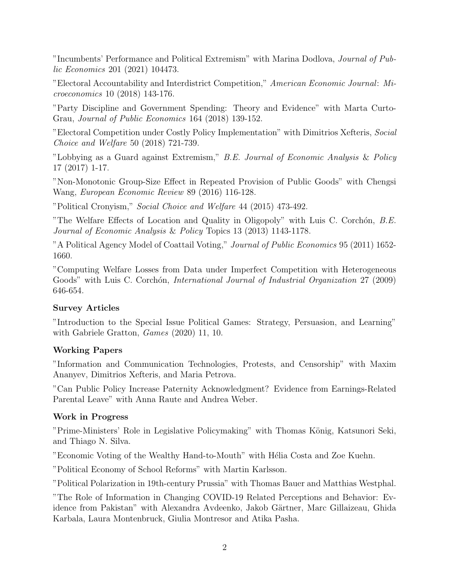"Incumbents' Performance and Political Extremism" with Marina Dodlova, Journal of Public Economics 201 (2021) 104473.

"Electoral Accountability and Interdistrict Competition," American Economic Journal: Microeconomics 10 (2018) 143-176.

"Party Discipline and Government Spending: Theory and Evidence" with Marta Curto-Grau, Journal of Public Economics 164 (2018) 139-152.

"Electoral Competition under Costly Policy Implementation" with Dimitrios Xefteris, Social Choice and Welfare 50 (2018) 721-739.

"Lobbying as a Guard against Extremism," B.E. Journal of Economic Analysis & Policy 17 (2017) 1-17.

"Non-Monotonic Group-Size Effect in Repeated Provision of Public Goods" with Chengsi Wang, European Economic Review 89 (2016) 116-128.

"Political Cronyism," Social Choice and Welfare 44 (2015) 473-492.

"The Welfare Effects of Location and Quality in Oligopoly" with Luis C. Corchón,  $B.E.$ Journal of Economic Analysis & Policy Topics 13 (2013) 1143-1178.

"A Political Agency Model of Coattail Voting," Journal of Public Economics 95 (2011) 1652- 1660.

"Computing Welfare Losses from Data under Imperfect Competition with Heterogeneous Goods" with Luis C. Corchón, *International Journal of Industrial Organization* 27 (2009) 646-654.

# Survey Articles

"Introduction to the Special Issue Political Games: Strategy, Persuasion, and Learning" with Gabriele Gratton, *Games* (2020) 11, 10.

# Working Papers

"Information and Communication Technologies, Protests, and Censorship" with Maxim Ananyev, Dimitrios Xefteris, and Maria Petrova.

"Can Public Policy Increase Paternity Acknowledgment? Evidence from Earnings-Related Parental Leave" with Anna Raute and Andrea Weber.

# Work in Progress

"Prime-Ministers' Role in Legislative Policymaking" with Thomas König, Katsunori Seki, and Thiago N. Silva.

"Economic Voting of the Wealthy Hand-to-Mouth" with Hélia Costa and Zoe Kuehn.

"Political Economy of School Reforms" with Martin Karlsson.

"Political Polarization in 19th-century Prussia" with Thomas Bauer and Matthias Westphal.

"The Role of Information in Changing COVID-19 Related Perceptions and Behavior: Evidence from Pakistan" with Alexandra Avdeenko, Jakob Gärtner, Marc Gillaizeau, Ghida Karbala, Laura Montenbruck, Giulia Montresor and Atika Pasha.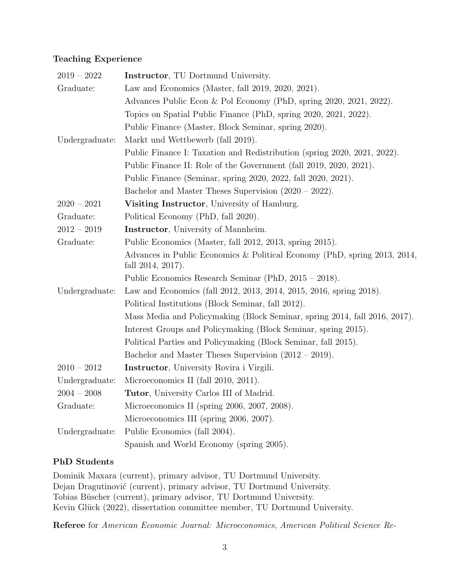# Teaching Experience

| $2019 - 2022$  | <b>Instructor</b> , TU Dortmund University.                                                       |
|----------------|---------------------------------------------------------------------------------------------------|
| Graduate:      | Law and Economics (Master, fall 2019, 2020, 2021).                                                |
|                | Advances Public Econ & Pol Economy (PhD, spring 2020, 2021, 2022).                                |
|                | Topics on Spatial Public Finance (PhD, spring 2020, 2021, 2022).                                  |
|                | Public Finance (Master, Block Seminar, spring 2020).                                              |
| Undergraduate: | Markt und Wettbewerb (fall 2019).                                                                 |
|                | Public Finance I: Taxation and Redistribution (spring 2020, 2021, 2022).                          |
|                | Public Finance II: Role of the Government (fall 2019, 2020, 2021).                                |
|                | Public Finance (Seminar, spring 2020, 2022, fall 2020, 2021).                                     |
|                | Bachelor and Master Theses Supervision $(2020 - 2022)$ .                                          |
| $2020 - 2021$  | Visiting Instructor, University of Hamburg.                                                       |
| Graduate:      | Political Economy (PhD, fall 2020).                                                               |
| $2012 - 2019$  | <b>Instructor</b> , University of Mannheim.                                                       |
| Graduate:      | Public Economics (Master, fall 2012, 2013, spring 2015).                                          |
|                | Advances in Public Economics & Political Economy (PhD, spring 2013, 2014,<br>fall $2014, 2017$ ). |
|                | Public Economics Research Seminar (PhD, 2015 – 2018).                                             |
| Undergraduate: | Law and Economics (fall 2012, 2013, 2014, 2015, 2016, spring 2018).                               |
|                | Political Institutions (Block Seminar, fall 2012).                                                |
|                | Mass Media and Policymaking (Block Seminar, spring 2014, fall 2016, 2017).                        |
|                | Interest Groups and Policymaking (Block Seminar, spring 2015).                                    |
|                | Political Parties and Policymaking (Block Seminar, fall 2015).                                    |
|                | Bachelor and Master Theses Supervision $(2012 - 2019)$ .                                          |
| $2010 - 2012$  | <b>Instructor</b> , University Rovira i Virgili.                                                  |
| Undergraduate: | Microeconomics II (fall 2010, 2011).                                                              |
| $2004 - 2008$  | Tutor, University Carlos III of Madrid.                                                           |
| Graduate:      | Microeconomics II (spring 2006, 2007, 2008).                                                      |
|                | Microeconomics III (spring 2006, 2007).                                                           |
| Undergraduate: | Public Economics (fall 2004).                                                                     |
|                | Spanish and World Economy (spring 2005).                                                          |

# PhD Students

Dominik Maxara (current), primary advisor, TU Dortmund University. Dejan Dragutinović (current), primary advisor, TU Dortmund University. Tobias Büscher (current), primary advisor, TU Dortmund University. Kevin Glück (2022), dissertation committee member, TU Dortmund University.

Referee for American Economic Journal: Microeconomics, American Political Science Re-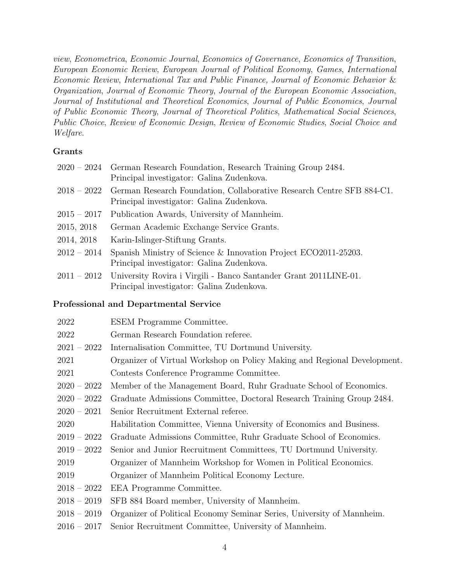view, Econometrica, Economic Journal, Economics of Governance, Economics of Transition, European Economic Review, European Journal of Political Economy, Games, International Economic Review, International Tax and Public Finance, Journal of Economic Behavior & Organization, Journal of Economic Theory, Journal of the European Economic Association, Journal of Institutional and Theoretical Economics, Journal of Public Economics, Journal of Public Economic Theory, Journal of Theoretical Politics, Mathematical Social Sciences, Public Choice, Review of Economic Design, Review of Economic Studies, Social Choice and Welfare.

## Grants

|               | 2020 – 2024 German Research Foundation, Research Training Group 2484.<br>Principal investigator: Galina Zudenkova.             |
|---------------|--------------------------------------------------------------------------------------------------------------------------------|
|               | 2018 – 2022 German Research Foundation, Collaborative Research Centre SFB 884-C1.<br>Principal investigator: Galina Zudenkova. |
| $2015 - 2017$ | Publication Awards, University of Mannheim.                                                                                    |
| 2015, 2018    | German Academic Exchange Service Grants.                                                                                       |
| 2014, 2018    | Karin-Islinger-Stiftung Grants.                                                                                                |
| $2012 - 2014$ | Spanish Ministry of Science & Innovation Project ECO2011-25203.<br>Principal investigator: Galina Zudenkova.                   |
| $2011 - 2012$ | University Rovira i Virgili - Banco Santander Grant 2011LINE-01.<br>Principal investigator: Galina Zudenkova.                  |

#### Professional and Departmental Service

| 2022          | ESEM Programme Committee.                                                |
|---------------|--------------------------------------------------------------------------|
| 2022          | German Research Foundation referee.                                      |
| $2021 - 2022$ | Internalisation Committee, TU Dortmund University.                       |
| 2021          | Organizer of Virtual Workshop on Policy Making and Regional Development. |
| 2021          | Contests Conference Programme Committee.                                 |
| $2020 - 2022$ | Member of the Management Board, Ruhr Graduate School of Economics.       |
| $2020 - 2022$ | Graduate Admissions Committee, Doctoral Research Training Group 2484.    |
| $2020 - 2021$ | Senior Recruitment External referee.                                     |
| 2020          | Habilitation Committee, Vienna University of Economics and Business.     |
| $2019 - 2022$ | Graduate Admissions Committee, Ruhr Graduate School of Economics.        |
| $2019 - 2022$ | Senior and Junior Recruitment Committees, TU Dortmund University.        |
| 2019          | Organizer of Mannheim Workshop for Women in Political Economics.         |
| 2019          | Organizer of Mannheim Political Economy Lecture.                         |
| $2018 - 2022$ | EEA Programme Committee.                                                 |
| $2018 - 2019$ | SFB 884 Board member, University of Mannheim.                            |
| $2018 - 2019$ | Organizer of Political Economy Seminar Series, University of Mannheim.   |
| $2016 - 2017$ | Senior Recruitment Committee, University of Mannheim.                    |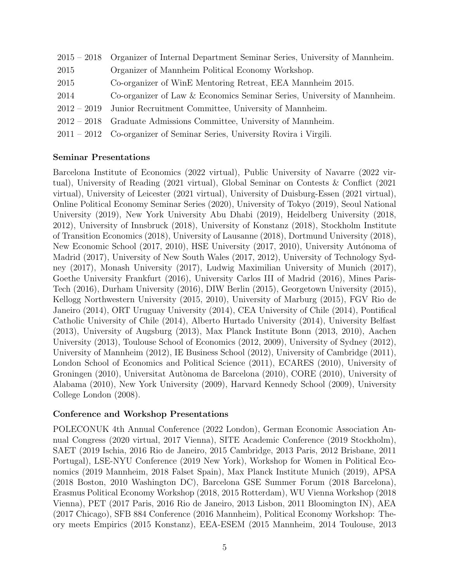|               | 2015 – 2018 Organizer of Internal Department Seminar Series, University of Mannheim. |
|---------------|--------------------------------------------------------------------------------------|
| 2015          | Organizer of Mannheim Political Economy Workshop.                                    |
| 2015          | Co-organizer of WinE Mentoring Retreat, EEA Mannheim 2015.                           |
| 2014          | Co-organizer of Law & Economics Seminar Series, University of Mannheim.              |
| $2012 - 2019$ | Junior Recruitment Committee, University of Mannheim.                                |
|               | $2012 - 2018$ Graduate Admissions Committee, University of Mannheim.                 |
|               | $2011 - 2012$ Co-organizer of Seminar Series, University Rovira i Virgili.           |
|               |                                                                                      |

## Seminar Presentations

Barcelona Institute of Economics (2022 virtual), Public University of Navarre (2022 virtual), University of Reading (2021 virtual), Global Seminar on Contests & Conflict (2021 virtual), University of Leicester (2021 virtual), University of Duisburg-Essen (2021 virtual), Online Political Economy Seminar Series (2020), University of Tokyo (2019), Seoul National University (2019), New York University Abu Dhabi (2019), Heidelberg University (2018, 2012), University of Innsbruck (2018), University of Konstanz (2018), Stockholm Institute of Transition Economics (2018), University of Lausanne (2018), Dortmund University (2018), New Economic School (2017, 2010), HSE University (2017, 2010), University Autónoma of Madrid (2017), University of New South Wales (2017, 2012), University of Technology Sydney (2017), Monash University (2017), Ludwig Maximilian University of Munich (2017), Goethe University Frankfurt (2016), University Carlos III of Madrid (2016), Mines Paris-Tech (2016), Durham University (2016), DIW Berlin (2015), Georgetown University (2015), Kellogg Northwestern University (2015, 2010), University of Marburg (2015), FGV Rio de Janeiro (2014), ORT Uruguay University (2014), CEA University of Chile (2014), Pontifical Catholic University of Chile (2014), Alberto Hurtado University (2014), University Belfast (2013), University of Augsburg (2013), Max Planck Institute Bonn (2013, 2010), Aachen University (2013), Toulouse School of Economics (2012, 2009), University of Sydney (2012), University of Mannheim (2012), IE Business School (2012), University of Cambridge (2011), London School of Economics and Political Science (2011), ECARES (2010), University of Groningen (2010), Universitat Autònoma de Barcelona (2010), CORE (2010), University of Alabama (2010), New York University (2009), Harvard Kennedy School (2009), University College London (2008).

#### Conference and Workshop Presentations

POLECONUK 4th Annual Conference (2022 London), German Economic Association Annual Congress (2020 virtual, 2017 Vienna), SITE Academic Conference (2019 Stockholm), SAET (2019 Ischia, 2016 Rio de Janeiro, 2015 Cambridge, 2013 Paris, 2012 Brisbane, 2011 Portugal), LSE-NYU Conference (2019 New York), Workshop for Women in Political Economics (2019 Mannheim, 2018 Falset Spain), Max Planck Institute Munich (2019), APSA (2018 Boston, 2010 Washington DC), Barcelona GSE Summer Forum (2018 Barcelona), Erasmus Political Economy Workshop (2018, 2015 Rotterdam), WU Vienna Workshop (2018 Vienna), PET (2017 Paris, 2016 Rio de Janeiro, 2013 Lisbon, 2011 Bloomington IN), AEA (2017 Chicago), SFB 884 Conference (2016 Mannheim), Political Economy Workshop: Theory meets Empirics (2015 Konstanz), EEA-ESEM (2015 Mannheim, 2014 Toulouse, 2013